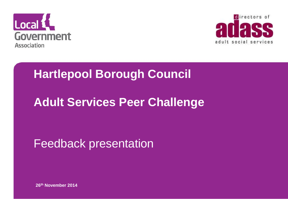



### **Hartlepool Borough Council**

### **Adult Services Peer Challenge**

### Feedback presentation

**26th November 2014**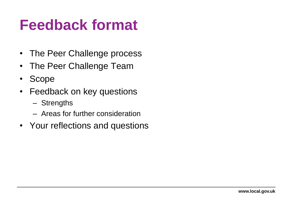## **Feedback format**

- The Peer Challenge process
- The Peer Challenge Team
- Scope
- Feedback on key questions
	- Strengths
	- Areas for further consideration
- Your reflections and questions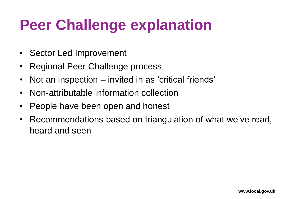# **Peer Challenge explanation**

- Sector Led Improvement
- Regional Peer Challenge process
- Not an inspection invited in as 'critical friends'
- Non-attributable information collection
- People have been open and honest
- Recommendations based on triangulation of what we've read, heard and seen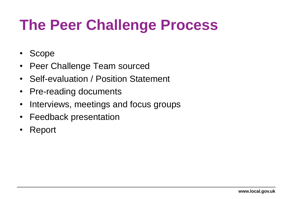# **The Peer Challenge Process**

- Scope
- Peer Challenge Team sourced
- Self-evaluation / Position Statement
- Pre-reading documents
- Interviews, meetings and focus groups
- Feedback presentation
- Report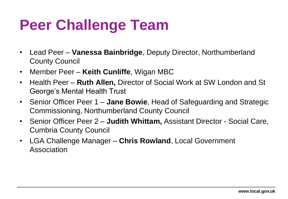# **Peer Challenge Team**

- Lead Peer **Vanessa Bainbridge**, Deputy Director, Northumberland County Council
- Member Peer **Keith Cunliffe**, Wigan MBC
- Health Peer **Ruth Allen,** Director of Social Work at SW London and St George's Mental Health Trust
- Senior Officer Peer 1 **Jane Bowie**, Head of Safeguarding and Strategic Commissioning, Northumberland County Council
- Senior Officer Peer 2 **Judith Whittam,** Assistant Director Social Care, Cumbria County Council
- LGA Challenge Manager **Chris Rowland**, Local Government Association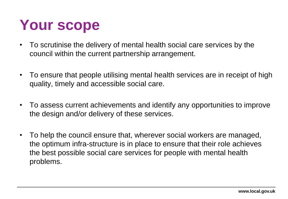# **Your scope**

- To scrutinise the delivery of mental health social care services by the council within the current partnership arrangement.
- To ensure that people utilising mental health services are in receipt of high quality, timely and accessible social care.
- To assess current achievements and identify any opportunities to improve the design and/or delivery of these services.
- To help the council ensure that, wherever social workers are managed, the optimum infra-structure is in place to ensure that their role achieves the best possible social care services for people with mental health problems.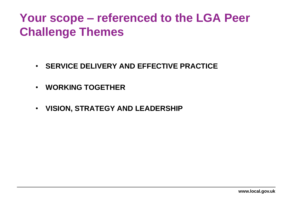### **Your scope – referenced to the LGA Peer Challenge Themes**

- **SERVICE DELIVERY AND EFFECTIVE PRACTICE**
- **WORKING TOGETHER**
- **VISION, STRATEGY AND LEADERSHIP**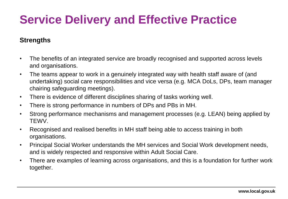## **Service Delivery and Effective Practice**

#### **Strengths**

- The benefits of an integrated service are broadly recognised and supported across levels and organisations.
- The teams appear to work in a genuinely integrated way with health staff aware of (and undertaking) social care responsibilities and vice versa (e.g. MCA DoLs, DPs, team manager chairing safeguarding meetings).
- There is evidence of different disciplines sharing of tasks working well.
- There is strong performance in numbers of DPs and PBs in MH.
- Strong performance mechanisms and management processes (e.g. LEAN) being applied by TEWV.
- Recognised and realised benefits in MH staff being able to access training in both organisations.
- Principal Social Worker understands the MH services and Social Work development needs, and is widely respected and responsive within Adult Social Care.
- There are examples of learning across organisations, and this is a foundation for further work together.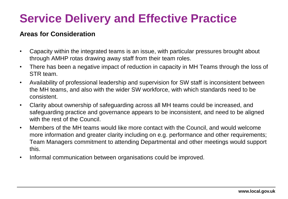## **Service Delivery and Effective Practice**

- Capacity within the integrated teams is an issue, with particular pressures brought about through AMHP rotas drawing away staff from their team roles.
- There has been a negative impact of reduction in capacity in MH Teams through the loss of STR team.
- Availability of professional leadership and supervision for SW staff is inconsistent between the MH teams, and also with the wider SW workforce, with which standards need to be consistent.
- Clarity about ownership of safeguarding across all MH teams could be increased, and safeguarding practice and governance appears to be inconsistent, and need to be aligned with the rest of the Council.
- Members of the MH teams would like more contact with the Council, and would welcome more information and greater clarity including on e.g. performance and other requirements; Team Managers commitment to attending Departmental and other meetings would support this.
- Informal communication between organisations could be improved.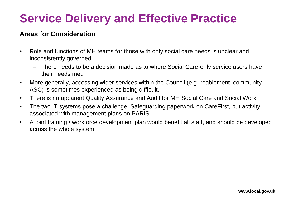### **Service Delivery and Effective Practice**

- Role and functions of MH teams for those with only social care needs is unclear and inconsistently governed.
	- There needs to be a decision made as to where Social Care-only service users have their needs met.
- More generally, accessing wider services within the Council (e.g. reablement, community ASC) is sometimes experienced as being difficult.
- There is no apparent Quality Assurance and Audit for MH Social Care and Social Work.
- The two IT systems pose a challenge: Safeguarding paperwork on CareFirst, but activity associated with management plans on PARIS.
- A joint training / workforce development plan would benefit all staff, and should be developed across the whole system.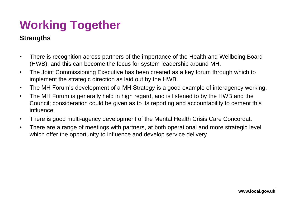## **Working Together**

#### **Strengths**

- There is recognition across partners of the importance of the Health and Wellbeing Board (HWB), and this can become the focus for system leadership around MH.
- The Joint Commissioning Executive has been created as a key forum through which to implement the strategic direction as laid out by the HWB.
- The MH Forum's development of a MH Strategy is a good example of interagency working.
- The MH Forum is generally held in high regard, and is listened to by the HWB and the Council; consideration could be given as to its reporting and accountability to cement this influence.
- There is good multi-agency development of the Mental Health Crisis Care Concordat.
- There are a range of meetings with partners, at both operational and more strategic level which offer the opportunity to influence and develop service delivery.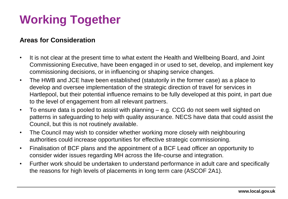## **Working Together**

- It is not clear at the present time to what extent the Health and Wellbeing Board, and Joint Commissioning Executive, have been engaged in or used to set, develop, and implement key commissioning decisions, or in influencing or shaping service changes.
- The HWB and JCE have been established (statutorily in the former case) as a place to develop and oversee implementation of the strategic direction of travel for services in Hartlepool, but their potential influence remains to be fully developed at this point, in part due to the level of engagement from all relevant partners.
- To ensure data is pooled to assist with planning e.g. CCG do not seem well sighted on patterns in safeguarding to help with quality assurance. NECS have data that could assist the Council, but this is not routinely available.
- The Council may wish to consider whether working more closely with neighbouring authorities could increase opportunities for effective strategic commissioning.
- Finalisation of BCF plans and the appointment of a BCF Lead officer an opportunity to consider wider issues regarding MH across the life-course and integration.
- Further work should be undertaken to understand performance in adult care and specifically the reasons for high levels of placements in long term care (ASCOF 2A1).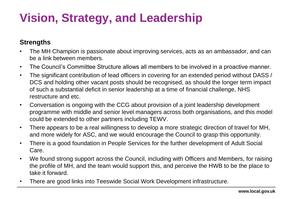### **Vision, Strategy, and Leadership**

#### **Strengths**

- The MH Champion is passionate about improving services, acts as an ambassador, and can be a link between members.
- The Council's Committee Structure allows all members to be involved in a proactive manner.
- The significant contribution of lead officers in covering for an extended period without DASS / DCS and holding other vacant posts should be recognised, as should the longer term impact of such a substantial deficit in senior leadership at a time of financial challenge, NHS restructure and etc.
- Conversation is ongoing with the CCG about provision of a joint leadership development programme with middle and senior level managers across both organisations, and this model could be extended to other partners including TEWV.
- There appears to be a real willingness to develop a more strategic direction of travel for MH, and more widely for ASC, and we would encourage the Council to grasp this opportunity.
- There is a good foundation in People Services for the further development of Adult Social Care.
- We found strong support across the Council, including with Officers and Members, for raising the profile of MH, and the team would support this, and perceive the HWB to be the place to take it forward.
- There are good links into Teeswide Social Work Development infrastructure.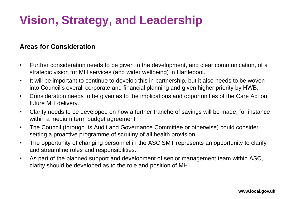## **Vision, Strategy, and Leadership**

- Further consideration needs to be given to the development, and clear communication, of a strategic vision for MH services (and wider wellbeing) in Hartlepool.
- It will be important to continue to develop this in partnership, but it also needs to be woven into Council's overall corporate and financial planning and given higher priority by HWB.
- Consideration needs to be given as to the implications and opportunities of the Care Act on future MH delivery.
- Clarity needs to be developed on how a further tranche of savings will be made, for instance within a medium term budget agreement
- The Council (through its Audit and Governance Committee or otherwise) could consider setting a proactive programme of scrutiny of all health provision.
- The opportunity of changing personnel in the ASC SMT represents an opportunity to clarify and streamline roles and responsibilities.
- As part of the planned support and development of senior management team within ASC, clarity should be developed as to the role and position of MH.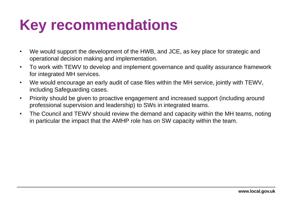## **Key recommendations**

- We would support the development of the HWB, and JCE, as key place for strategic and operational decision making and implementation.
- To work with TEWV to develop and implement governance and quality assurance framework for integrated MH services.
- We would encourage an early audit of case files within the MH service, jointly with TEWV, including Safeguarding cases.
- Priority should be given to proactive engagement and increased support (including around professional supervision and leadership) to SWs in integrated teams.
- The Council and TEWV should review the demand and capacity within the MH teams, noting in particular the impact that the AMHP role has on SW capacity within the team.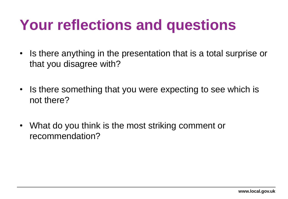## **Your reflections and questions**

- Is there anything in the presentation that is a total surprise or that you disagree with?
- Is there something that you were expecting to see which is not there?
- What do you think is the most striking comment or recommendation?